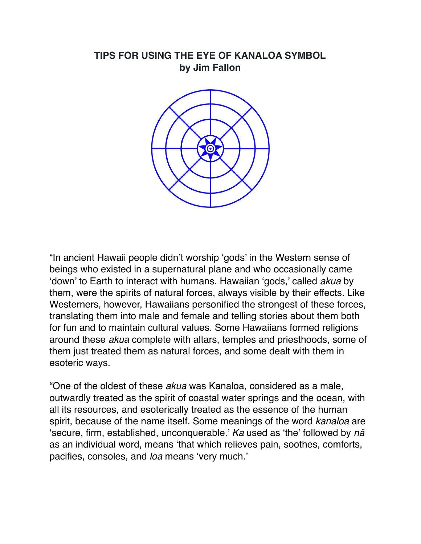#### **TIPS FOR USING THE EYE OF KANALOA SYMBOL by Jim Fallon**



"In ancient Hawaii people didn't worship 'gods' in the Western sense of beings who existed in a supernatural plane and who occasionally came 'down' to Earth to interact with humans. Hawaiian 'gods,' called *akua* by them, were the spirits of natural forces, always visible by their effects. Like Westerners, however, Hawaiians personified the strongest of these forces, translating them into male and female and telling stories about them both for fun and to maintain cultural values. Some Hawaiians formed religions around these *akua* complete with altars, temples and priesthoods, some of them just treated them as natural forces, and some dealt with them in esoteric ways.

"One of the oldest of these *akua* was Kanaloa, considered as a male, outwardly treated as the spirit of coastal water springs and the ocean, with all its resources, and esoterically treated as the essence of the human spirit, because of the name itself. Some meanings of the word *kanaloa* are 'secure, firm, established, unconquerable.' *Ka* used as 'the' followed by *nä*  as an individual word, means 'that which relieves pain, soothes, comforts, pacifies, consoles, and *loa* means 'very much.'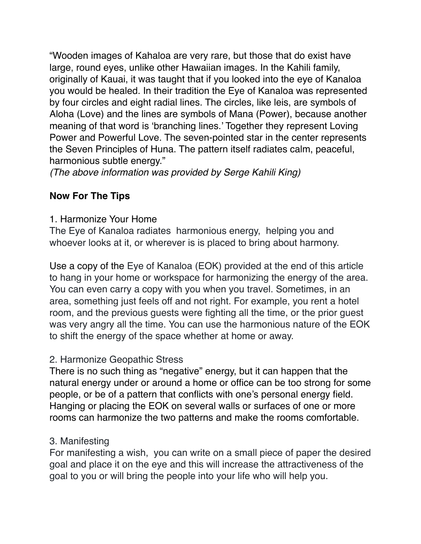"Wooden images of Kahaloa are very rare, but those that do exist have large, round eyes, unlike other Hawaiian images. In the Kahili family, originally of Kauai, it was taught that if you looked into the eye of Kanaloa you would be healed. In their tradition the Eye of Kanaloa was represented by four circles and eight radial lines. The circles, like leis, are symbols of Aloha (Love) and the lines are symbols of Mana (Power), because another meaning of that word is 'branching lines.' Together they represent Loving Power and Powerful Love. The seven-pointed star in the center represents the Seven Principles of Huna. The pattern itself radiates calm, peaceful, harmonious subtle energy."

*(The above information was provided by Serge Kahili King)*

# **Now For The Tips**

1. Harmonize Your Home

The Eye of Kanaloa radiates harmonious energy, helping you and whoever looks at it, or wherever is is placed to bring about harmony.

Use a copy of the Eye of Kanaloa (EOK) provided at the end of this article to hang in your home or workspace for harmonizing the energy of the area. You can even carry a copy with you when you travel. Sometimes, in an area, something just feels off and not right. For example, you rent a hotel room, and the previous guests were fighting all the time, or the prior guest was very angry all the time. You can use the harmonious nature of the EOK to shift the energy of the space whether at home or away.

## 2. Harmonize Geopathic Stress

There is no such thing as "negative" energy, but it can happen that the natural energy under or around a home or office can be too strong for some people, or be of a pattern that conflicts with one's personal energy field. Hanging or placing the EOK on several walls or surfaces of one or more rooms can harmonize the two patterns and make the rooms comfortable.

## 3. Manifesting

For manifesting a wish, you can write on a small piece of paper the desired goal and place it on the eye and this will increase the attractiveness of the goal to you or will bring the people into your life who will help you.